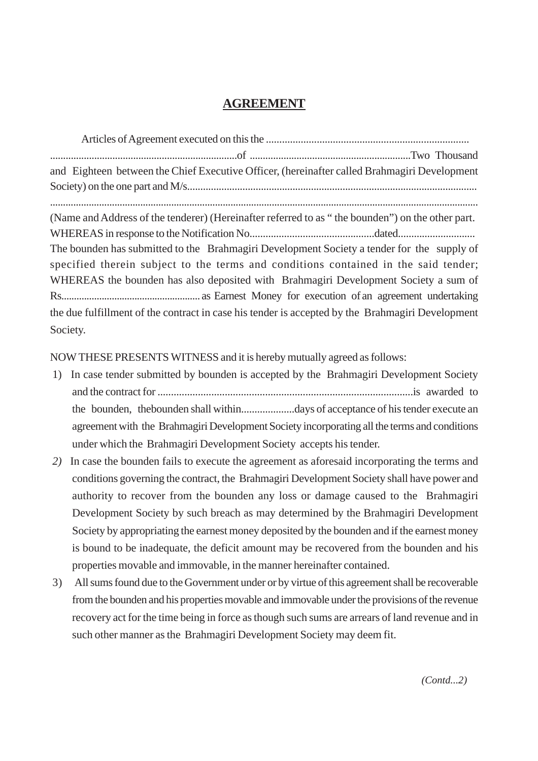## **AGREEMENT**

| and Eighteen between the Chief Executive Officer, (hereinafter called Brahmagiri Development     |
|--------------------------------------------------------------------------------------------------|
|                                                                                                  |
|                                                                                                  |
| (Name and Address of the tenderer) (Hereinafter referred to as "the bounden") on the other part. |
|                                                                                                  |
| The bounden has submitted to the Brahmagiri Development Society a tender for the supply of       |
| specified therein subject to the terms and conditions contained in the said tender;              |
| WHEREAS the bounden has also deposited with Brahmagiri Development Society a sum of              |
|                                                                                                  |
| the due fulfillment of the contract in case his tender is accepted by the Brahmagiri Development |
| Society.                                                                                         |

NOW THESE PRESENTS WITNESS and it is hereby mutually agreed as follows:

- 1) In case tender submitted by bounden is accepted by the Brahmagiri Development Society and the contract for ...............................................................................................is awarded to the bounden, thebounden shall within....................days of acceptance of his tender execute an agreement with the Brahmagiri Development Society incorporating all the terms and conditions under which the Brahmagiri Development Society accepts his tender.
- *2)* In case the bounden fails to execute the agreement as aforesaid incorporating the terms and conditions governing the contract, the Brahmagiri Development Society shall have power and authority to recover from the bounden any loss or damage caused to the Brahmagiri Development Society by such breach as may determined by the Brahmagiri Development Society by appropriating the earnest money deposited by the bounden and if the earnest money is bound to be inadequate, the deficit amount may be recovered from the bounden and his properties movable and immovable, in the manner hereinafter contained.
- 3) All sums found due to the Government under or by virtue of this agreement shall be recoverable from the bounden and his properties movable and immovable under the provisions of the revenue recovery act for the time being in force as though such sums are arrears of land revenue and in such other manner as the Brahmagiri Development Society may deem fit.